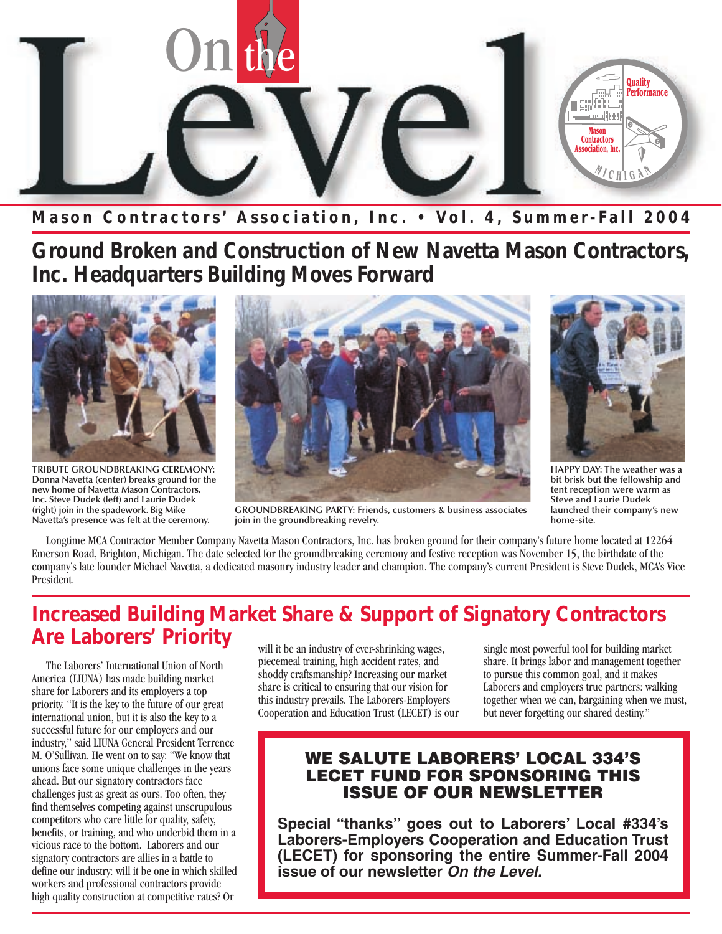

**Mason Contractors' Association, Inc. • Vol. 4, Summer-Fall 2004**

**Ground Broken and Construction of New Navetta Mason Contractors, Inc. Headquarters Building Moves Forward**



**TRIBUTE GROUNDBREAKING CEREMONY: Donna Navetta (center) breaks ground for the new home of Navetta Mason Contractors, Inc. Steve Dudek (left) and Laurie Dudek (right) join in the spadework. Big Mike Navetta's presence was felt at the ceremony.**





**HAPPY DAY: The weather was a bit brisk but the fellowship and tent reception were warm as Steve and Laurie Dudek launched their company's new home-site.**

**GROUNDBREAKING PARTY: Friends, customers & business associates join in the groundbreaking revelry.**

Longtime MCA Contractor Member Company Navetta Mason Contractors, Inc. has broken ground for their company's future home located at 12264 Emerson Road, Brighton, Michigan. The date selected for the groundbreaking ceremony and festive reception was November 15, the birthdate of the company's late founder Michael Navetta, a dedicated masonry industry leader and champion. The company's current President is Steve Dudek, MCA's Vice President.

#### **Increased Building Market Share & Support of Signatory Contractors Are Laborers' Priority**

The Laborers' International Union of North America (LIUNA) has made building market share for Laborers and its employers a top priority. "It is the key to the future of our great international union, but it is also the key to a successful future for our employers and our industry," said LIUNA General President Terrence M. O'Sullivan. He went on to say: "We know that unions face some unique challenges in the years ahead. But our signatory contractors face challenges just as great as ours. Too often, they find themselves competing against unscrupulous competitors who care little for quality, safety, benefits, or training, and who underbid them in a vicious race to the bottom. Laborers and our signatory contractors are allies in a battle to define our industry: will it be one in which skilled workers and professional contractors provide high quality construction at competitive rates? Or

will it be an industry of ever-shrinking wages, piecemeal training, high accident rates, and shoddy craftsmanship? Increasing our market share is critical to ensuring that our vision for this industry prevails. The Laborers-Employers Cooperation and Education Trust (LECET) is our single most powerful tool for building market share. It brings labor and management together to pursue this common goal, and it makes Laborers and employers true partners: walking together when we can, bargaining when we must, but never forgetting our shared destiny."

#### **WE SALUTE LABORERS' LOCAL 334'S LECET FUND FOR SPONSORING THIS ISSUE OF OUR NEWSLETTER**

**Special "thanks" goes out to Laborers' Local #334's Laborers-Employers Cooperation and Education Trust (LECET) for sponsoring the entire Summer-Fall 2004 issue of our newsletter** *On the Level.*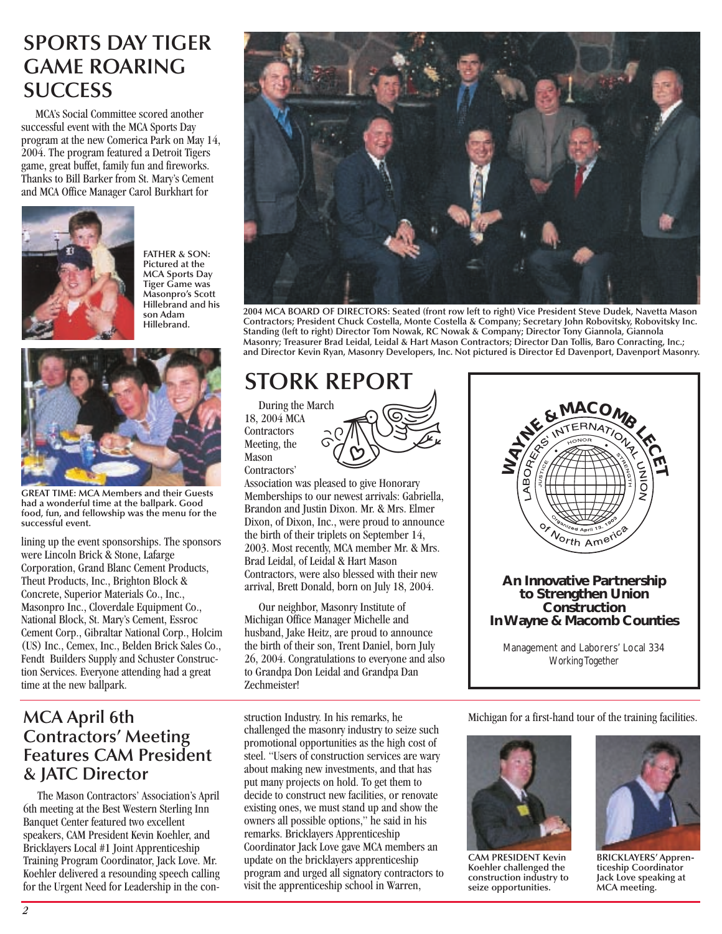### **SPORTS DAY TIGER GAME ROARING SUCCESS**

MCA's Social Committee scored another successful event with the MCA Sports Day program at the new Comerica Park on May 14, 2004. The program featured a Detroit Tigers game, great buffet, family fun and fireworks. Thanks to Bill Barker from St. Mary's Cement and MCA Office Manager Carol Burkhart for



**FATHER & SON: Pictured at the MCA Sports Day Tiger Game was Masonpro's Scott Hillebrand and his son Adam Hillebrand.**



**GREAT TIME: MCA Members and their Guests had a wonderful time at the ballpark. Good food, fun, and fellowship was the menu for the successful event.**

lining up the event sponsorships. The sponsors were Lincoln Brick & Stone, Lafarge Corporation, Grand Blanc Cement Products, Theut Products, Inc., Brighton Block & Concrete, Superior Materials Co., Inc., Masonpro Inc., Cloverdale Equipment Co., National Block, St. Mary's Cement, Essroc Cement Corp., Gibraltar National Corp., Holcim (US) Inc., Cemex, Inc., Belden Brick Sales Co., Fendt Builders Supply and Schuster Construction Services. Everyone attending had a great time at the new ballpark.

#### **MCA April 6th Contractors' Meeting Features CAM President & JATC Director**

The Mason Contractors' Association's April 6th meeting at the Best Western Sterling Inn Banquet Center featured two excellent speakers, CAM President Kevin Koehler, and Bricklayers Local #1 Joint Apprenticeship Training Program Coordinator, Jack Love. Mr. Koehler delivered a resounding speech calling for the Urgent Need for Leadership in the con-



**2004 MCA BOARD OF DIRECTORS: Seated (front row left to right) Vice President Steve Dudek, Navetta Mason Contractors; President Chuck Costella, Monte Costella & Company; Secretary John Robovitsky, Robovitsky Inc. Standing (left to right) Director Tom Nowak, RC Nowak & Company; Director Tony Giannola, Giannola Masonry; Treasurer Brad Leidal, Leidal & Hart Mason Contractors; Director Dan Tollis, Baro Conracting, Inc.; and Director Kevin Ryan, Masonry Developers, Inc. Not pictured is Director Ed Davenport, Davenport Masonry.**

# **STORK REPORT**

During the March 18, 2004 MCA **Contractors** Meeting, the Mason Contractors'



Association was pleased to give Honorary Memberships to our newest arrivals: Gabriella, Brandon and Justin Dixon. Mr. & Mrs. Elmer Dixon, of Dixon, Inc., were proud to announce the birth of their triplets on September 14, 2003. Most recently, MCA member Mr. & Mrs. Brad Leidal, of Leidal & Hart Mason Contractors, were also blessed with their new arrival, Brett Donald, born on July 18, 2004.

Our neighbor, Masonry Institute of Michigan Office Manager Michelle and husband, Jake Heitz, are proud to announce the birth of their son, Trent Daniel, born July 26, 2004. Congratulations to everyone and also to Grandpa Don Leidal and Grandpa Dan Zechmeister!

struction Industry. In his remarks, he challenged the masonry industry to seize such promotional opportunities as the high cost of steel. "Users of construction services are wary about making new investments, and that has put many projects on hold. To get them to decide to construct new facilities, or renovate existing ones, we must stand up and show the owners all possible options," he said in his remarks. Bricklayers Apprenticeship Coordinator Jack Love gave MCA members an update on the bricklayers apprenticeship program and urged all signatory contractors to visit the apprenticeship school in Warren,



#### **An Innovative Partnership to Strengthen Union Construction In Wayne & Macomb Counties**

Management and Laborers' Local 334 *Working Together*

Michigan for a first-hand tour of the training facilities.



**CAM PRESIDENT Kevin Koehler challenged the construction industry to seize opportunities.**



**BRICKLAYERS' Apprenticeship Coordinator Jack Love speaking at MCA meeting.**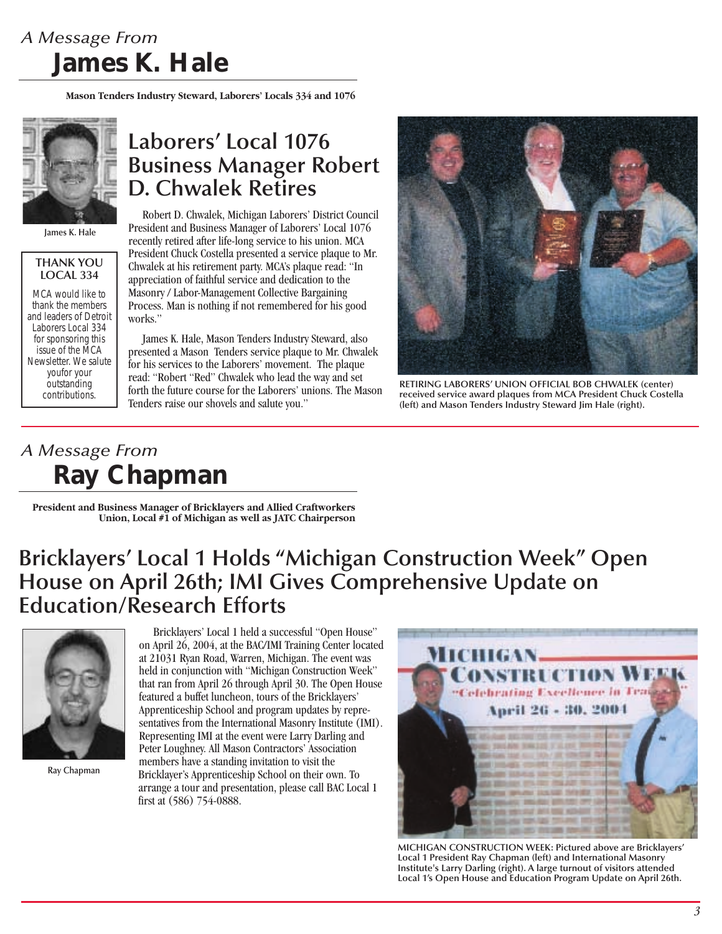## *A Message From* **James K. Hale**

**Mason Tenders Industry Steward, Laborers' Locals 334 and 1076**



**James K. Hale**

#### **THANK YOU LOCAL 334**

MCA would like to thank the members and leaders of Detroit Laborers Local 334 for sponsoring this issue of the MCA Newsletter. We salute youfor your outstanding contributions.

### **Laborers' Local 1076 Business Manager Robert D. Chwalek Retires**

Robert D. Chwalek, Michigan Laborers' District Council President and Business Manager of Laborers' Local 1076 recently retired after life-long service to his union. MCA President Chuck Costella presented a service plaque to Mr. Chwalek at his retirement party. MCA's plaque read: "In appreciation of faithful service and dedication to the Masonry / Labor-Management Collective Bargaining Process. Man is nothing if not remembered for his good works."

James K. Hale, Mason Tenders Industry Steward, also presented a Mason Tenders service plaque to Mr. Chwalek for his services to the Laborers' movement. The plaque read: "Robert "Red" Chwalek who lead the way and set forth the future course for the Laborers' unions. The Mason Tenders raise our shovels and salute you."



**RETIRING LABORERS' UNION OFFICIAL BOB CHWALEK (center) received service award plaques from MCA President Chuck Costella (left) and Mason Tenders Industry Steward Jim Hale (right).**

## *A Message From* **Ray Chapman**

**President and Business Manager of Bricklayers and Allied Craftworkers Union, Local #1 of Michigan as well as JATC Chairperson**

## **Bricklayers' Local 1 Holds "Michigan Construction Week" Open House on April 26th; IMI Gives Comprehensive Update on Education/Research Efforts**



**Ray Chapman**

Bricklayers' Local 1 held a successful "Open House" on April 26, 2004, at the BAC/IMI Training Center located at 21031 Ryan Road, Warren, Michigan. The event was held in conjunction with "Michigan Construction Week" that ran from April 26 through April 30. The Open House featured a buffet luncheon, tours of the Bricklayers' Apprenticeship School and program updates by representatives from the International Masonry Institute (IMI). Representing IMI at the event were Larry Darling and Peter Loughney. All Mason Contractors' Association members have a standing invitation to visit the Bricklayer's Apprenticeship School on their own. To arrange a tour and presentation, please call BAC Local 1 first at (586) 754-0888.



**MICHIGAN CONSTRUCTION WEEK: Pictured above are Bricklayers' Local 1 President Ray Chapman (left) and International Masonry Institute's Larry Darling (right). A large turnout of visitors attended Local 1's Open House and Education Program Update on April 26th.**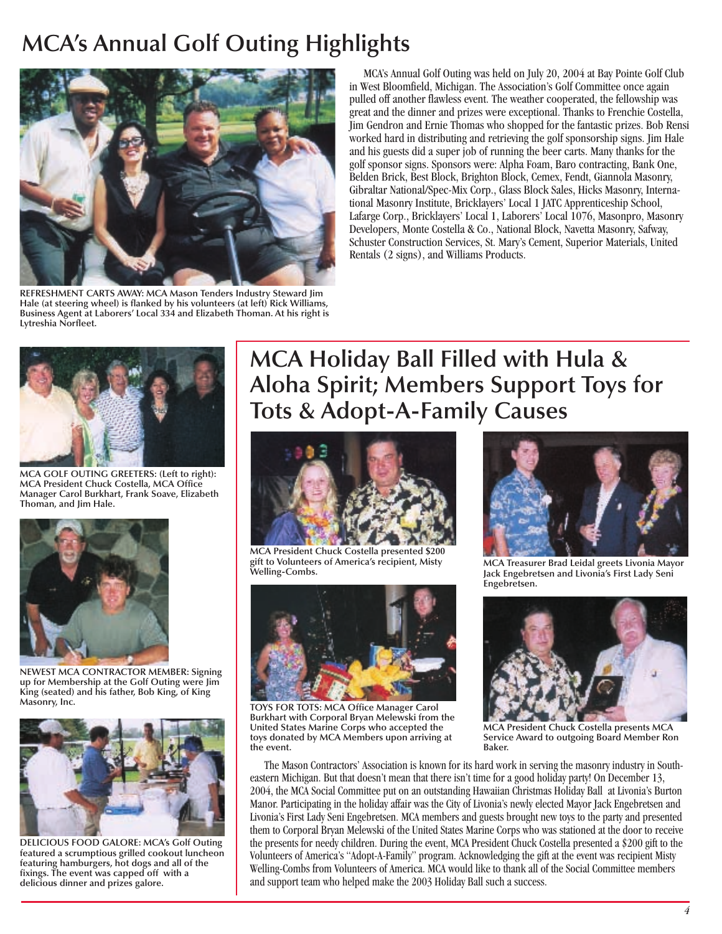## **MCA's Annual Golf Outing Highlights**



**REFRESHMENT CARTS AWAY: MCA Mason Tenders Industry Steward Jim Hale (at steering wheel) is flanked by his volunteers (at left) Rick Williams, Business Agent at Laborers' Local 334 and Elizabeth Thoman. At his right is Lytreshia Norfleet.**

MCA's Annual Golf Outing was held on July 20, 2004 at Bay Pointe Golf Club in West Bloomfield, Michigan. The Association's Golf Committee once again pulled off another flawless event. The weather cooperated, the fellowship was great and the dinner and prizes were exceptional. Thanks to Frenchie Costella, Jim Gendron and Ernie Thomas who shopped for the fantastic prizes. Bob Rensi worked hard in distributing and retrieving the golf sponsorship signs. Jim Hale and his guests did a super job of running the beer carts. Many thanks for the golf sponsor signs. Sponsors were: Alpha Foam, Baro contracting, Bank One, Belden Brick, Best Block, Brighton Block, Cemex, Fendt, Giannola Masonry, Gibraltar National/Spec-Mix Corp., Glass Block Sales, Hicks Masonry, International Masonry Institute, Bricklayers' Local 1 JATC Apprenticeship School, Lafarge Corp., Bricklayers' Local 1, Laborers' Local 1076, Masonpro, Masonry Developers, Monte Costella & Co., National Block, Navetta Masonry, Safway, Schuster Construction Services, St. Mary's Cement, Superior Materials, United Rentals (2 signs), and Williams Products.



**MCA GOLF OUTING GREETERS: (Left to right): MCA President Chuck Costella, MCA Office Manager Carol Burkhart, Frank Soave, Elizabeth Thoman, and Jim Hale.**



**NEWEST MCA CONTRACTOR MEMBER: Signing up for Membership at the Golf Outing were Jim King (seated) and his father, Bob King, of King Masonry, Inc.**



**DELICIOUS FOOD GALORE: MCA's Golf Outing featured a scrumptious grilled cookout luncheon featuring hamburgers, hot dogs and all of the fixings. The event was capped off with a delicious dinner and prizes galore.**

## **MCA Holiday Ball Filled with Hula & Aloha Spirit; Members Support Toys for Tots & Adopt-A-Family Causes**



**MCA President Chuck Costella presented \$200 gift to Volunteers of America's recipient, Misty Welling-Combs. MCA Treasurer Brad Leidal greets Livonia Mayor**



**TOYS FOR TOTS: MCA Office Manager Carol Burkhart with Corporal Bryan Melewski from the United States Marine Corps who accepted the toys donated by MCA Members upon arriving at the event.**



**Jack Engebretsen and Livonia's First Lady Seni Engebretsen.**



**MCA President Chuck Costella presents MCA Service Award to outgoing Board Member Ron Baker.**

The Mason Contractors' Association is known for its hard work in serving the masonry industry in Southeastern Michigan. But that doesn't mean that there isn't time for a good holiday party! On December 13, 2004, the MCA Social Committee put on an outstanding Hawaiian Christmas Holiday Ball at Livonia's Burton Manor. Participating in the holiday affair was the City of Livonia's newly elected Mayor Jack Engebretsen and Livonia's First Lady Seni Engebretsen. MCA members and guests brought new toys to the party and presented them to Corporal Bryan Melewski of the United States Marine Corps who was stationed at the door to receive the presents for needy children. During the event, MCA President Chuck Costella presented a \$200 gift to the Volunteers of America's "Adopt-A-Family" program. Acknowledging the gift at the event was recipient Misty Welling-Combs from Volunteers of America. MCA would like to thank all of the Social Committee members and support team who helped make the 2003 Holiday Ball such a success.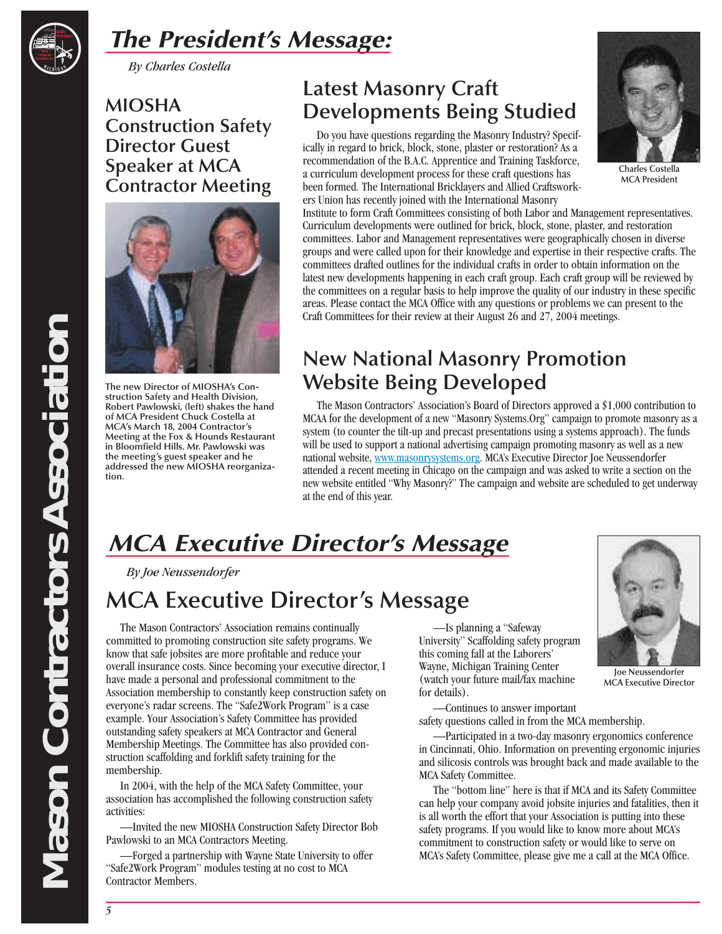

# *The President's Message:*

*By Charles Costella*

**MIOSHA Construction Safety Director Guest Speaker at MCA Contractor Meeting**



**The new Director of MIOSHA's Construction Safety and Health Division, Robert Pawlowski, (left) shakes the hand of MCA President Chuck Costella at MCA's March 18, 2004 Contractor's Meeting at the Fox & Hounds Restaurant in Bloomfield Hills. Mr. Pawlowski was the meeting's guest speaker and he addressed the new MIOSHA reorganization.**

## **Latest Masonry Craft Developments Being Studied**

Do you have questions regarding the Masonry Industry? Specifically in regard to brick, block, stone, plaster or restoration? As a recommendation of the B.A.C. Apprentice and Training Taskforce, a curriculum development process for these craft questions has been formed. The International Bricklayers and Allied Craftsworkers Union has recently joined with the International Masonry



**Charles Costella MCA President**

Institute to form Craft Committees consisting of both Labor and Management representatives. Curriculum developments were outlined for brick, block, stone, plaster, and restoration committees. Labor and Management representatives were geographically chosen in diverse groups and were called upon for their knowledge and expertise in their respective crafts. The committees drafted outlines for the individual crafts in order to obtain information on the latest new developments happening in each craft group. Each craft group will be reviewed by the committees on a regular basis to help improve the quality of our industry in these specific areas. Please contact the MCA Office with any questions or problems we can present to the Craft Committees for their review at their August 26 and 27, 2004 meetings.

### **New National Masonry Promotion Website Being Developed**

The Mason Contractors' Association's Board of Directors approved a \$1,000 contribution to MCAA for the development of a new "Masonry Systems.Org" campaign to promote masonry as a system (to counter the tilt-up and precast presentations using a systems approach). The funds will be used to support a national advertising campaign promoting masonry as well as a new national website, www.masonrysystems.org. MCA's Executive Director Joe Neussendorfer attended a recent meeting in Chicago on the campaign and was asked to write a section on the new website entitled "Why Masonry?" The campaign and website are scheduled to get underway at the end of this year.

# *MCA Executive Director's Message*

*By Joe Neussendorfer*

# **MCA Executive Director's Message**

The Mason Contractors' Association remains continually committed to promoting construction site safety programs. We know that safe jobsites are more profitable and reduce your overall insurance costs. Since becoming your executive director, I have made a personal and professional commitment to the Association membership to constantly keep construction safety on everyone's radar screens. The "Safe2Work Program" is a case example. Your Association's Safety Committee has provided outstanding safety speakers at MCA Contractor and General Membership Meetings. The Committee has also provided construction scaffolding and forklift safety training for the membership.

In 2004, with the help of the MCA Safety Committee, your association has accomplished the following construction safety activities:

—Invited the new MIOSHA Construction Safety Director Bob Pawlowski to an MCA Contractors Meeting.

—Forged a partnership with Wayne State University to offer "Safe2Work Program" modules testing at no cost to MCA Contractor Members.

—Is planning a "Safeway University" Scaffolding safety program this coming fall at the Laborers' Wayne, Michigan Training Center (watch your future mail/fax machine for details).



**Joe Neussendorfer MCA Executive Director**

—Continues to answer important safety questions called in from the MCA membership.

—Participated in a two-day masonry ergonomics conference in Cincinnati, Ohio. Information on preventing ergonomic injuries and silicosis controls was brought back and made available to the MCA Safety Committee.

The "bottom line" here is that if MCA and its Safety Committee can help your company avoid jobsite injuries and fatalities, then it is all worth the effort that your Association is putting into these safety programs. If you would like to know more about MCA's commitment to construction safety or would like to serve on MCA's Safety Committee, please give me a call at the MCA Office.